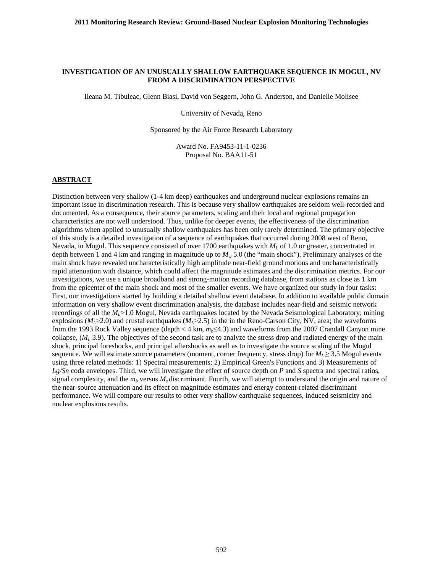#### **INVESTIGATION OF AN UNUSUALLY SHALLOW EARTHQUAKE SEQUENCE IN MOGUL, NV FROM A DISCRIMINATION PERSPECTIVE**

Ileana M. Tibuleac, Glenn Biasi, David von Seggern, John G. Anderson, and Danielle Molisee

University of Nevada, Reno

Sponsored by the Air Force Research Laboratory

Award No. FA9453-11-1-0236 Proposal No. BAA11-51

#### **ABSTRACT**

Distinction between very shallow (1-4 km deep) earthquakes and underground nuclear explosions remains an important issue in discrimination research. This is because very shallow earthquakes are seldom well-recorded and documented. As a consequence, their source parameters, scaling and their local and regional propagation characteristics are not well understood. Thus, unlike for deeper events, the effectiveness of the discrimination algorithms when applied to unusually shallow earthquakes has been only rarely determined. The primary objective of this study is a detailed investigation of a sequence of earthquakes that occurred during 2008 west of Reno, Nevada, in Mogul. This sequence consisted of over 1700 earthquakes with *ML* of 1.0 or greater, concentrated in depth between 1 and 4 km and ranging in magnitude up to  $M<sub>w</sub>$  5.0 (the "main shock"). Preliminary analyses of the main shock have revealed uncharacteristically high amplitude near-field ground motions and uncharacteristically rapid attenuation with distance, which could affect the magnitude estimates and the discrimination metrics. For our investigations, we use a unique broadband and strong-motion recording database, from stations as close as 1 km from the epicenter of the main shock and most of the smaller events. We have organized our study in four tasks: First, our investigations started by building a detailed shallow event database. In addition to available public domain information on very shallow event discrimination analysis, the database includes near-field and seismic network recordings of all the *M<sub>L</sub>*>1.0 Mogul, Nevada earthquakes located by the Nevada Seismological Laboratory; mining explosions  $(M_L>2.0)$  and crustal earthquakes  $(M_L>2.5)$  in the in the Reno-Carson City, NV, area; the waveforms from the 1993 Rock Valley sequence (depth < 4 km, *mb*≤4.3) and waveforms from the 2007 Crandall Canyon mine collapse,  $(M_L, 3.9)$ . The objectives of the second task are to analyze the stress drop and radiated energy of the main shock, principal foreshocks, and principal aftershocks as well as to investigate the source scaling of the Mogul sequence. We will estimate source parameters (moment, corner frequency, stress drop) for  $M_L \geq 3.5$  Mogul events using three related methods: 1) Spectral measurements; 2) Empirical Green's Functions and 3) Measurements of *Lg/Sn* coda envelopes. Third, we will investigate the effect of source depth on *P* and *S* spectra and spectral ratios, signal complexity, and the  $m_b$  versus  $M_s$  discriminant. Fourth, we will attempt to understand the origin and nature of the near-source attenuation and its effect on magnitude estimates and energy content-related discriminant performance. We will compare our results to other very shallow earthquake sequences, induced seismicity and nuclear explosions results.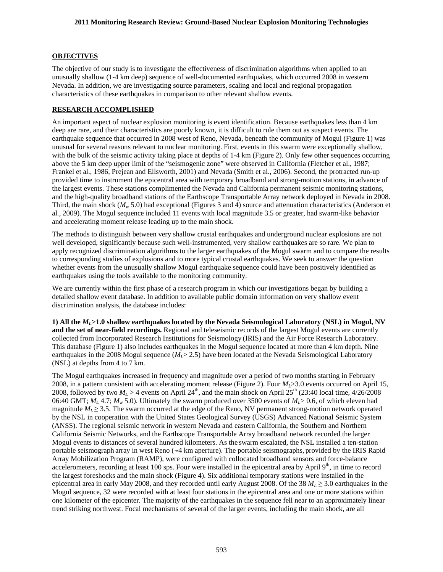# **OBJECTIVES**

The objective of our study is to investigate the effectiveness of discrimination algorithms when applied to an unusually shallow (1-4 km deep) sequence of well-documented earthquakes, which occurred 2008 in western Nevada. In addition, we are investigating source parameters, scaling and local and regional propagation characteristics of these earthquakes in comparison to other relevant shallow events.

## **RESEARCH ACCOMPLISHED**

An important aspect of nuclear explosion monitoring is event identification. Because earthquakes less than 4 km deep are rare, and their characteristics are poorly known, it is difficult to rule them out as suspect events. The earthquake sequence that occurred in 2008 west of Reno, Nevada, beneath the community of Mogul (Figure 1) was unusual for several reasons relevant to nuclear monitoring. First, events in this swarm were exceptionally shallow, with the bulk of the seismic activity taking place at depths of 1-4 km (Figure 2). Only few other sequences occurring above the 5 km deep upper limit of the "seismogenic zone" were observed in California (Fletcher et al., 1987; Frankel et al., 1986, Prejean and Ellsworth, 2001) and Nevada (Smith et al., 2006). Second, the protracted run-up provided time to instrument the epicentral area with temporary broadband and strong-motion stations, in advance of the largest events. These stations complimented the Nevada and California permanent seismic monitoring stations, and the high-quality broadband stations of the Earthscope Transportable Array network deployed in Nevada in 2008. Third, the main shock ( $M<sub>w</sub>$  5.0) had exceptional (Figures 3 and 4) source and attenuation characteristics (Anderson et al*.*, 2009). The Mogul sequence included 11 events with local magnitude 3.5 or greater, had swarm-like behavior and accelerating moment release leading up to the main shock.

The methods to distinguish between very shallow crustal earthquakes and underground nuclear explosions are not well developed, significantly because such well-instrumented, very shallow earthquakes are so rare. We plan to apply recognized discrimination algorithms to the larger earthquakes of the Mogul swarm and to compare the results to corresponding studies of explosions and to more typical crustal earthquakes. We seek to answer the question whether events from the unusually shallow Mogul earthquake sequence could have been positively identified as earthquakes using the tools available to the monitoring community.

We are currently within the first phase of a research program in which our investigations began by building a detailed shallow event database. In addition to available public domain information on very shallow event discrimination analysis, the database includes:

**1) All the** *ML***>1.0 shallow earthquakes located by the Nevada Seismological Laboratory (NSL) in Mogul, NV and the set of near-field recordings.** Regional and teleseismic records of the largest Mogul events are currently collected from Incorporated Research Institutions for Seismology (IRIS) and the Air Force Research Laboratory. This database (Figure 1) also includes earthquakes in the Mogul sequence located at more than 4 km depth. Nine earthquakes in the 2008 Mogul sequence  $(M<sub>L</sub> > 2.5)$  have been located at the Nevada Seismological Laboratory (NSL) at depths from 4 to 7 km.

The Mogul earthquakes increased in frequency and magnitude over a period of two months starting in February 2008, in a pattern consistent with accelerating moment release (Figure 2). Four  $M<sub>I</sub> > 3.0$  events occurred on April 15, 2008, followed by two  $M_L > 4$  events on April 24<sup>th</sup>, and the main shock on April 25<sup>th</sup> (23:40 local time, 4/26/2008 06:40 GMT; *ML* 4.7; *Mw* 5.0). Ultimately the swarm produced over 3500 events of *ML*> 0.6, of which eleven had magnitude  $M_L \geq 3.5$ . The swarm occurred at the edge of the Reno, NV permanent strong-motion network operated by the NSL in cooperation with the United States Geological Survey (USGS) Advanced National Seismic System (ANSS). The regional seismic network in western Nevada and eastern California, the Southern and Northern California Seismic Networks, and the Earthscope Transportable Array broadband network recorded the larger Mogul events to distances of several hundred kilometers. As the swarm escalated, the NSL installed a ten-station portable seismograph array in west Reno ( 4 km aperture). The portable seismographs, provided by the IRIS Rapid Array Mobilization Program (RAMP), were configured with collocated broadband sensors and force-balance accelerometers, recording at least 100 sps. Four were installed in the epicentral area by April  $9<sup>th</sup>$ , in time to record the largest foreshocks and the main shock (Figure 4). Six additional temporary stations were installed in the epicentral area in early May 2008, and they recorded until early August 2008. Of the 38 *ML* ≥ 3.0 earthquakes in the Mogul sequence, 32 were recorded with at least four stations in the epicentral area and one or more stations within one kilometer of the epicenter. The majority of the earthquakes in the sequence fell near to an approximately linear trend striking northwest. Focal mechanisms of several of the larger events, including the main shock, are all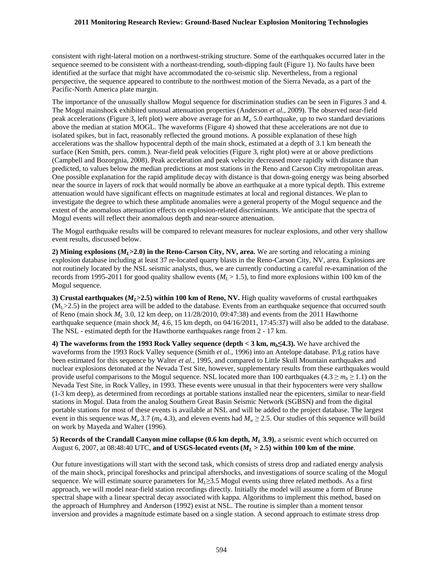### **2011 Monitoring Research Review: Ground-Based Nuclear Explosion Monitoring Technologies**

consistent with right-lateral motion on a northwest-striking structure. Some of the earthquakes occurred later in the sequence seemed to be consistent with a northeast-trending, south-dipping fault (Figure 1). No faults have been identified at the surface that might have accommodated the co-seismic slip. Nevertheless, from a regional perspective, the sequence appeared to contribute to the northwest motion of the Sierra Nevada, as a part of the Pacific-North America plate margin.

The importance of the unusually shallow Mogul sequence for discrimination studies can be seen in Figures 3 and 4. The Mogul mainshock exhibited unusual attenuation properties (Anderson *et al*., 2009). The observed near-field peak accelerations (Figure 3, left plot) were above average for an *Mw* 5.0 earthquake, up to two standard deviations above the median at station MOGL. The waveforms (Figure 4) showed that these accelerations are not due to isolated spikes, but in fact, reasonably reflected the ground motions. A possible explanation of these high accelerations was the shallow hypocentral depth of the main shock, estimated at a depth of 3.1 km beneath the surface (Ken Smith, pers. comm.). Near-field peak velocities (Figure 3, right plot) were at or above predictions (Campbell and Bozorgnia, 2008). Peak acceleration and peak velocity decreased more rapidly with distance than predicted, to values below the median predictions at most stations in the Reno and Carson City metropolitan areas. One possible explanation for the rapid amplitude decay with distance is that down-going energy was being absorbed near the source in layers of rock that would normally be above an earthquake at a more typical depth. This extreme attenuation would have significant effects on magnitude estimates at local and regional distances. We plan to investigate the degree to which these amplitude anomalies were a general property of the Mogul sequence and the extent of the anomalous attenuation effects on explosion-related discriminants. We anticipate that the spectra of Mogul events will reflect their anomalous depth and near-source attenuation.

The Mogul earthquake results will be compared to relevant measures for nuclear explosions, and other very shallow event results, discussed below.

**2) Mining explosions**  $(M<sub>L</sub> > 2.0)$  **in the Reno-Carson City, NV, area.** We are sorting and relocating a mining explosion database including at least 37 re-located quarry blasts in the Reno-Carson City, NV, area. Explosions are not routinely located by the NSL seismic analysts, thus, we are currently conducting a careful re-examination of the records from 1995-2011 for good quality shallow events ( $M_L$  > 1.5), to find more explosions within 100 km of the Mogul sequence.

**3) Crustal earthquakes (***ML***>2.5) within 100 km of Reno, NV.** High quality waveforms of crustal earthquakes  $(M<sub>1</sub> > 2.5)$  in the project area will be added to the database. Events from an earthquake sequence that occurred south of Reno (main shock *ML* 3.0, 12 km deep, on 11/28/2010, 09:47:38) and events from the 2011 Hawthorne earthquake sequence (main shock *M<sub>L</sub>* 4.6, 15 km depth, on 04/16/2011, 17:45:37) will also be added to the database. The NSL - estimated depth for the Hawthorne earthquakes range from 2 - 17 km.

**4) The waveforms from the 1993 Rock Valley sequence (depth**  $<$  **3 km,**  $m_b \leq$  **4.3). We have archived the** waveforms from the 1993 Rock Valley sequence (Smith *et al.*, 1996) into an Antelope database. P/Lg ratios have been estimated for this sequence by Walter *et al.*, 1995, and compared to Little Skull Mountain earthquakes and nuclear explosions detonated at the Nevada Test Site, however, supplementary results from these earthquakes would provide useful comparisons to the Mogul sequence. NSL located more than 100 earthquakes (4.3  $\geq m_b \geq 1.1$ ) on the Nevada Test Site, in Rock Valley, in 1993. These events were unusual in that their hypocenters were very shallow (1-3 km deep), as determined from recordings at portable stations installed near the epicenters, similar to near-field stations in Mogul. Data from the analog Southern Great Basin Seismic Network (SGBSN) and from the digital portable stations for most of these events is available at NSL and will be added to the project database. The largest event in this sequence was  $M_w 3.7$  ( $m_b 4.3$ ), and eleven events had  $M_w \ge 2.5$ . Our studies of this sequence will build on work by Mayeda and Walter (1996).

**5) Records of the Crandall Canyon mine collapse (0.6 km depth,** *ML* **3.9)**, a seismic event which occurred on August 6, 2007, at 08:48:40 UTC, **and of USGS-located events (** $M<sub>L</sub>$  **> 2.5) within 100 km of the mine.** 

Our future investigations will start with the second task, which consists of stress drop and radiated energy analysis of the main shock, principal foreshocks and principal aftershocks, and investigations of source scaling of the Mogul sequence. We will estimate source parameters for  $M<sub>L</sub>$ ≥3.5 Mogul events using three related methods. As a first approach, we will model near-field station recordings directly. Initially the model will assume a form of Brune spectral shape with a linear spectral decay associated with kappa. Algorithms to implement this method, based on the approach of Humphrey and Anderson (1992) exist at NSL. The routine is simpler than a moment tensor inversion and provides a magnitude estimate based on a single station. A second approach to estimate stress drop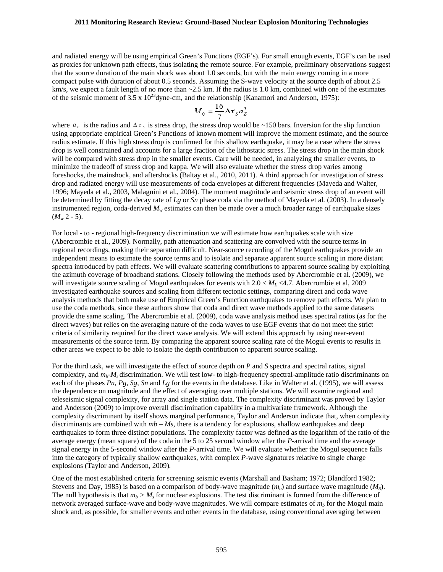### **2011 Monitoring Research Review: Ground-Based Nuclear Explosion Monitoring Technologies**

and radiated energy will be using empirical Green's Functions (EGF's). For small enough events, EGF's can be used as proxies for unknown path effects, thus isolating the remote source. For example, preliminary observations suggest that the source duration of the main shock was about 1.0 seconds, but with the main energy coming in a more compact pulse with duration of about 0.5 seconds. Assuming the S-wave velocity at the source depth of about 2.5 km/s, we expect a fault length of no more than  $\sim$ 2.5 km. If the radius is 1.0 km, combined with one of the estimates of the seismic moment of  $3.5 \times 10^{23}$ dyne-cm, and the relationship (Kanamori and Anderson, 1975):

$$
M_{o} = \frac{16}{7} \Delta \tau_{s} a_{E}^{3}
$$

where  $a_E$  is the radius and  $\Delta \tau_s$  is stress drop, the stress drop would be ~150 bars. Inversion for the slip function drop is well constrained and accounts for a large fraction of the lithostatic stress. The stress drop in the main shock using appropriate empirical Green's Functions of known moment will improve the moment estimate, and the source radius estimate. If this high stress drop is confirmed for this shallow earthquake, it may be a case where the stress will be compared with stress drop in the smaller events. Care will be needed, in analyzing the smaller events, to minimize the tradeoff of stress drop and kappa. We will also evaluate whether the stress drop varies among foreshocks, the mainshock, and aftershocks (Baltay et al., 2010, 2011). A third approach for investigation of stress drop and radiated energy will use measurements of coda envelopes at different frequencies (Mayeda and Walter, 1996; Mayeda et al*.*, 2003, Malagnini et al., 2004). The moment magnitude and seismic stress drop of an event will be determined by fitting the decay rate of *Lg* or *Sn* phase coda via the method of Mayeda et al*.* (2003). In a densely instrumented region, coda-derived  $M<sub>w</sub>$  estimates can then be made over a much broader range of earthquake sizes  $(M_w 2 - 5)$ .

For local - to - regional high-frequency discrimination we will estimate how earthquakes scale with size (Abercrombie et al., 2009). Normally, path attenuation and scattering are convolved with the source terms in regional recordings, making their separation difficult. Near-source recording of the Mogul earthquakes provide an independent means to estimate the source terms and to isolate and separate apparent source scaling in more distant spectra introduced by path effects. We will evaluate scattering contributions to apparent source scaling by exploiting the azimuth coverage of broadband stations. Closely following the methods used by Abercrombie et al. (2009), we will investigate source scaling of Mogul earthquakes for events with  $2.0 < M<sub>L</sub> < 4.7$ . Abercrombie et al, 2009 investigated earthquake sources and scaling from different tectonic settings, comparing direct and coda wave analysis methods that both make use of Empirical Green's Function earthquakes to remove path effects. We plan to use the coda methods, since these authors show that coda and direct wave methods applied to the same datasets provide the same scaling. The Abercrombie et al. (2009), coda wave analysis method uses spectral ratios (as for the direct waves) but relies on the averaging nature of the coda waves to use EGF events that do not meet the strict criteria of similarity required for the direct wave analysis. We will extend this approach by using near-event measurements of the source term. By comparing the apparent source scaling rate of the Mogul events to results in other areas we expect to be able to isolate the depth contribution to apparent source scaling.

For the third task, we will investigate the effect of source depth on *P* and *S* spectra and spectral ratios, signal complexity, and  $m_b-M_s$  discrimination. We will test low- to high-frequency spectral-amplitude ratio discriminants on each of the phases *Pn, Pg, Sg, Sn* and *Lg* for the events in the database. Like in Walter et al*.* (1995), we will assess the dependence on magnitude and the effect of averaging over multiple stations. We will examine regional and teleseismic signal complexity, for array and single station data. The complexity discriminant was proved by Taylor and Anderson (2009) to improve overall discrimination capability in a multivariate framework. Although the complexity discriminant by itself shows marginal performance, Taylor and Anderson indicate that, when complexity discriminants are combined with  $mb - Ms$ , there is a tendency for explosions, shallow earthquakes and deep earthquakes to form three distinct populations. The complexity factor was defined as the logarithm of the ratio of the average energy (mean square) of the coda in the 5 to 25 second window after the *P-*arrival time and the average signal energy in the 5-second window after the *P*-arrival time. We will evaluate whether the Mogul sequence falls into the category of typically shallow earthquakes, with complex *P*-wave signatures relative to single charge explosions (Taylor and Anderson, 2009)*.* 

One of the most established criteria for screening seismic events (Marshall and Basham; 1972; Blandford 1982; Stevens and Day, 1985) is based on a comparison of body-wave magnitude  $(m_b)$  and surface wave magnitude  $(M<sub>S</sub>)$ . The null hypothesis is that  $m_b > M_s$  for nuclear explosions. The test discriminant is formed from the difference of network averaged surface-wave and body-wave magnitudes. We will compare estimates of  $m<sub>b</sub>$  for the Mogul main shock and, as possible, for smaller events and other events in the database, using conventional averaging between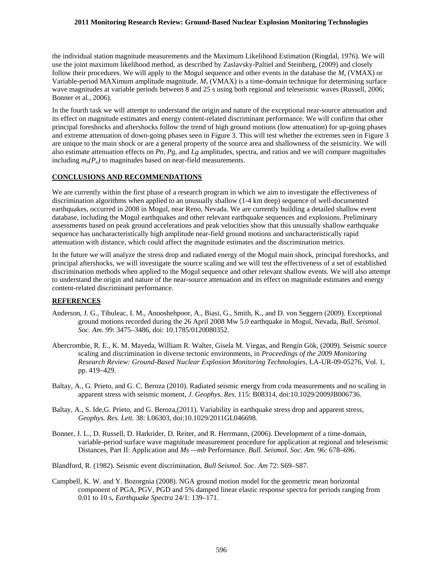#### **2011 Monitoring Research Review: Ground-Based Nuclear Explosion Monitoring Technologies**

the individual station magnitude measurements and the Maximum Likelihood Estimation (Ringdal, 1976). We will use the joint maximum likelihood method, as described by Zaslavsky-Paltiel and Steinberg, (2009) and closely follow their procedures. We will apply to the Mogul sequence and other events in the database the *Ms* (VMAX) or Variable-period MAXimum amplitude magnitude. *Ms* (VMAX) is a time-domain technique for determining surface wave magnitudes at variable periods between 8 and 25 s using both regional and teleseismic waves (Russell, 2006; Bonner et al*.*, 2006).

In the fourth task we will attempt to understand the origin and nature of the exceptional near-source attenuation and its effect on magnitude estimates and energy content-related discriminant performance. We will confirm that other principal foreshocks and aftershocks follow the trend of high ground motions (low attenuation) for up-going phases and extreme attenuation of down-going phases seen in Figure 3. This will test whether the extremes seen in Figure 3 are unique to the main shock or are a general property of the source area and shallowness of the seismicity. We will also estimate attenuation effects on *Pn, Pg*, and *Lg* amplitudes, spectra, and ratios and we will compare magnitudes including  $m_b(P_n)$  to magnitudes based on near-field measurements.

# **CONCLUSIONS AND RECOMMENDATIONS**

We are currently within the first phase of a research program in which we aim to investigate the effectiveness of discrimination algorithms when applied to an unusually shallow (1-4 km deep) sequence of well-documented earthquakes, occurred in 2008 in Mogul, near Reno, Nevada. We are currently building a detailed shallow event database, including the Mogul earthquakes and other relevant earthquake sequences and explosions. Preliminary assessments based on peak ground accelerations and peak velocities show that this unusually shallow earthquake sequence has uncharacteristically high amplitude near-field ground motions and uncharacteristically rapid attenuation with distance, which could affect the magnitude estimates and the discrimination metrics.

In the future we will analyze the stress drop and radiated energy of the Mogul main shock, principal foreshocks, and principal aftershocks, we will investigate the source scaling and we will test the effectiveness of a set of established discrimination methods when applied to the Mogul sequence and other relevant shallow events. We will also attempt to understand the origin and nature of the near-source attenuation and its effect on magnitude estimates and energy content-related discriminant performance.

## **REFERENCES**

- Anderson, J. G., Tibuleac, I. M., Anooshehpoor, A., Biasi, G., Smith, K., and D. von Seggern (2009). Exceptional ground motions recorded during the 26 April 2008 Mw 5.0 earthquake in Mogul, Nevada, *Bull. Seismol. Soc. Am.* 99: 3475–3486, doi: 10.1785/0120080352.
- Abercrombie, R. E., K. M. Mayeda, William R. Walter, Gisela M. Viegas, and Rengin Gök, (2009). Seismic source scaling and discrimination in diverse tectonic environments, in *Proceedings of the 2009 Monitoring Research Review: Ground-Based Nuclear Explosion Monitoring Technologies*, LA-UR-09-05276, Vol. 1, pp. 419–429.
- Baltay, A., G. Prieto, and G. C. Beroza (2010). Radiated seismic energy from coda measurements and no scaling in apparent stress with seismic moment, *J. Geophys. Res.* 115: B08314, doi:10.1029/2009JB006736.
- Baltay, A., S. Ide,G. Prieto, and G. Beroza,(2011). Variability in earthquake stress drop and apparent stress, *Geophys. Res. Lett.* 38: L06303, doi:10.1029/2011GL046698.
- Bonner, J. L., D. Russell, D. Harkrider, D. Reiter, and R. Herrmann, (2006). Development of a time-domain, variable-period surface wave magnitude measurement procedure for application at regional and teleseismic Distances, Part II: Application and *Ms —mb* Performance. *Bull. Seismol. Soc. Am.* 96*:* 678–696.
- Blandford, R. (1982). Seismic event discrimination, *Bull Seismol. Soc. Am* 72: S69–S87.
- Campbell, K. W. and Y. Bozorgnia (2008). NGA ground motion model for the geometric mean horizontal component of PGA, PGV, PGD and 5% damped linear elastic response spectra for periods ranging from 0.01 to 10 s, *Earthquake Spectra* 24/1: 139–171.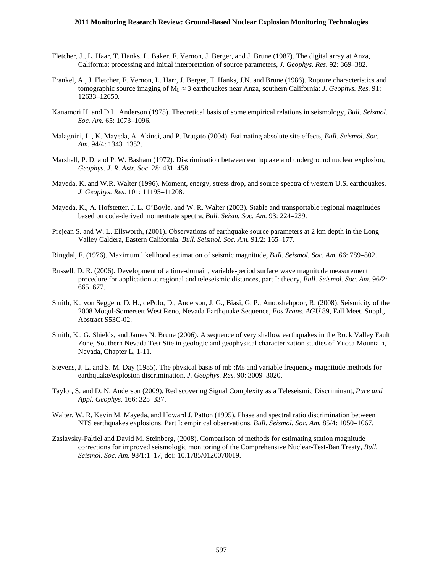- Fletcher, J., L. Haar, T. Hanks, L. Baker, F. Vernon, J. Berger, and J. Brune (1987). The digital array at Anza, California: processing and initial interpretation of source parameters, *J. Geophys. Res*. 92: 369–382.
- Frankel, A., J. Fletcher, F. Vernon, L. Harr, J. Berger, T. Hanks, J.N. and Brune (1986). Rupture characteristics and tomographic source imaging of  $M_L \approx 3$  earthquakes near Anza, southern California: *J. Geophys. Res.* 91: 12633–12650.
- Kanamori H. and D.L. Anderson (1975). Theoretical basis of some empirical relations in seismology, *Bull. Seismol. Soc. Am*. 65: 1073–1096.
- Malagnini, L., K. Mayeda, A. Akinci, and P. Bragato (2004). Estimating absolute site effects, *Bull. Seismol. Soc. Am*. 94/4: 1343–1352.
- Marshall, P. D. and P. W. Basham (1972). Discrimination between earthquake and underground nuclear explosion, *Geophys*. *J. R. Astr. Soc*. 28: 431–458.
- Mayeda, K. and W.R. Walter (1996). Moment, energy, stress drop, and source spectra of western U.S. earthquakes, *J. Geophys. Res*. 101: 11195–11208.
- Mayeda, K., A. Hofstetter, J. L. O'Boyle, and W. R. Walter (2003). Stable and transportable regional magnitudes based on coda-derived momentrate spectra, *Bull. Seism. Soc. Am.* 93: 224–239.
- Prejean S. and W. L. Ellsworth, (2001). Observations of earthquake source parameters at 2 km depth in the Long Valley Caldera, Eastern California, *Bull. Seismol. Soc. Am.* 91/2: 165–177.
- Ringdal, F. (1976). Maximum likelihood estimation of seismic magnitude, *Bull. Seismol. Soc. Am.* 66: 789–802.
- Russell, D. R. (2006). Development of a time-domain, variable-period surface wave magnitude measurement procedure for application at regional and teleseismic distances, part I: theory, *Bull. Seismol. Soc. Am*. 96/2: 665–677.
- Smith, K., von Seggern, D. H., dePolo, D., Anderson, J. G., Biasi, G. P., Anooshehpoor, R. (2008). Seismicity of the 2008 Mogul-Somersett West Reno, Nevada Earthquake Sequence, *Eos Trans. AGU* 89, Fall Meet. Suppl., Abstract S53C-02.
- Smith, K., G. Shields, and James N. Brune (2006). A sequence of very shallow earthquakes in the Rock Valley Fault Zone, Southern Nevada Test Site in geologic and geophysical characterization studies of Yucca Mountain, Nevada, Chapter L, 1-11.
- Stevens, J. L. and S. M. Day (1985). The physical basis of mb :Ms and variable frequency magnitude methods for earthquake/explosion discrimination, *J. Geophys. Res*. 90: 3009–3020.
- Taylor, S. and D. N. Anderson (2009). Rediscovering Signal Complexity as a Teleseismic Discriminant, *Pure and Appl. Geophys.* 166: 325–337.
- Walter, W. R, Kevin M. Mayeda, and Howard J. Patton (1995). Phase and spectral ratio discrimination between NTS earthquakes explosions. Part I: empirical observations, *Bull. Seismol. Soc. Am.* 85/4: 1050–1067.
- Zaslavsky-Paltiel and David M. Steinberg, (2008). Comparison of methods for estimating station magnitude corrections for improved seismologic monitoring of the Comprehensive Nuclear-Test-Ban Treaty, *Bull. Seismol. Soc. Am.* 98/1:1–17, doi: 10.1785/0120070019.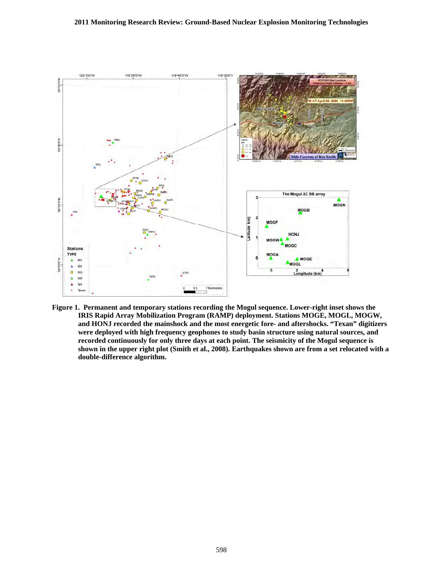

**Figure 1. Permanent and temporary stations recording the Mogul sequence. Lower-right inset shows the IRIS Rapid Array Mobilization Program (RAMP) deployment. Stations MOGE, MOGL, MOGW, and HONJ recorded the mainshock and the most energetic fore- and aftershocks. "Texan" digitizers were deployed with high frequency geophones to study basin structure using natural sources, and recorded continuously for only three days at each point. The seismicity of the Mogul sequence is shown in the upper right plot (Smith et al., 2008). Earthquakes shown are from a set relocated with a double-difference algorithm.**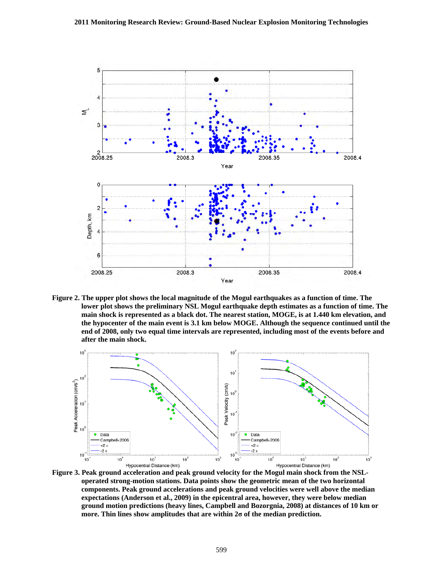

**Figure 2. The upper plot shows the local magnitude of the Mogul earthquakes as a function of time. The lower plot shows the preliminary NSL Mogul earthquake depth estimates as a function of time. The main shock is represented as a black dot. The nearest station, MOGE, is at 1.440 km elevation, and the hypocenter of the main event is 3.1 km below MOGE. Although the sequence continued until the end of 2008, only two equal time intervals are represented, including most of the events before and after the main shock.** 



**Figure 3. Peak ground acceleration and peak ground velocity for the Mogul main shock from the NSLoperated strong-motion stations. Data points show the geometric mean of the two horizontal components. Peak ground accelerations and peak ground velocities were well above the median expectations (Anderson et al., 2009) in the epicentral area, however, they were below median ground motion predictions (heavy lines, Campbell and Bozorgnia, 2008) at distances of 10 km or more. Thin lines show amplitudes that are within 2σ of the median prediction.**